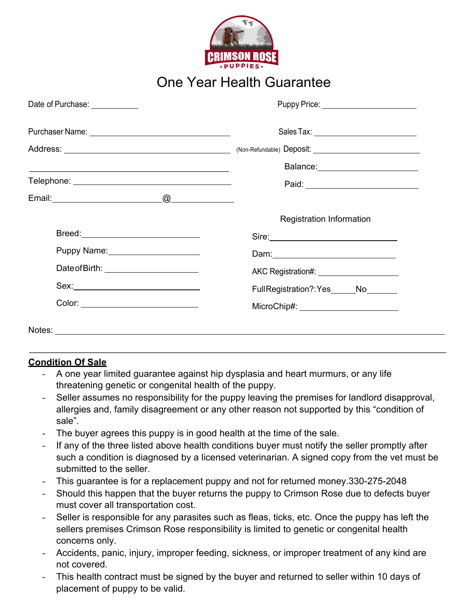

## One Year Health Guarantee

| Date of Purchase: <u>__________</u>    | Puppy Price: <u>_______________________</u>                                                                    |
|----------------------------------------|----------------------------------------------------------------------------------------------------------------|
|                                        |                                                                                                                |
|                                        |                                                                                                                |
|                                        | Balance: __________________________                                                                            |
|                                        | Paid: 2008 2009 2010 2021 2022 2023 2024 2022 2023 2024 2022 2023 2024 2022 2023 2024 2025 2026 2027 2028 2021 |
|                                        |                                                                                                                |
|                                        | <b>Registration Information</b>                                                                                |
|                                        |                                                                                                                |
| Puppy Name: 2008                       |                                                                                                                |
| Date of Birth: _______________________ | AKC Registration#: <u>______________________</u>                                                               |
|                                        | Full Registration?: Yes______No_______                                                                         |
| Color: _____________________________   | MicroChip#: _________________________                                                                          |
| Notes: Notes:                          |                                                                                                                |

## **Condition Of Sale**

- A one year limited guarantee against hip dysplasia and heart murmurs, or any life threatening genetic or congenital health of the puppy.
- Seller assumes no responsibility for the puppy leaving the premises for landlord disapproval, allergies and, family disagreement or any other reason not supported by this "condition of sale".
- The buyer agrees this puppy is in good health at the time of the sale.
- If any of the three listed above health conditions buyer must notify the seller promptly after such a condition is diagnosed by a licensed veterinarian. A signed copy from the vet must be submitted to the seller.
- This guarantee is for a replacement puppy and not for returned money.330-275-2048
- Should this happen that the buyer returns the puppy to Crimson Rose due to defects buyer must cover all transportation cost.
- Seller is responsible for any parasites such as fleas, ticks, etc. Once the puppy has left the sellers premises Crimson Rose responsibility is limited to genetic or congenital health concerns only.
- Accidents, panic, injury, improper feeding, sickness, or improper treatment of any kind are not covered.
- This health contract must be signed by the buyer and returned to seller within 10 days of placement of puppy to be valid.